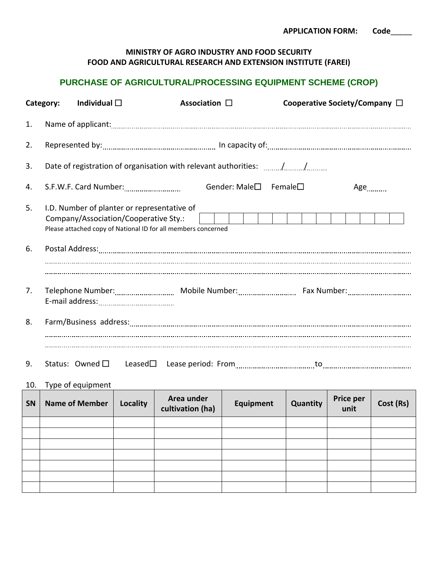## **MINISTRY OF AGRO INDUSTRY AND FOOD SECURITY FOOD AND AGRICULTURAL RESEARCH AND EXTENSION INSTITUTE (FAREI)**

## **PURCHASE OF AGRICULTURAL/PROCESSING EQUIPMENT SCHEME (CROP)**

| Category: |                                                                    | Individual $\square$                                                                                                                                  |  |  | Association $\square$ |  |  |  | Cooperative Society/Company $\Box$ |  |  |  |                   |  |  |  |
|-----------|--------------------------------------------------------------------|-------------------------------------------------------------------------------------------------------------------------------------------------------|--|--|-----------------------|--|--|--|------------------------------------|--|--|--|-------------------|--|--|--|
| 1.        |                                                                    |                                                                                                                                                       |  |  |                       |  |  |  |                                    |  |  |  |                   |  |  |  |
| 2.        |                                                                    |                                                                                                                                                       |  |  |                       |  |  |  |                                    |  |  |  |                   |  |  |  |
| 3.        | Date of registration of organisation with relevant authorities: // |                                                                                                                                                       |  |  |                       |  |  |  |                                    |  |  |  |                   |  |  |  |
| 4.        |                                                                    |                                                                                                                                                       |  |  | Gender: Male□ Female□ |  |  |  |                                    |  |  |  | $Age$ <sub></sub> |  |  |  |
| 5.        |                                                                    | I.D. Number of planter or representative of<br>Company/Association/Cooperative Sty.:<br>Please attached copy of National ID for all members concerned |  |  |                       |  |  |  |                                    |  |  |  |                   |  |  |  |
| 6.        |                                                                    |                                                                                                                                                       |  |  |                       |  |  |  |                                    |  |  |  |                   |  |  |  |
| 7.        |                                                                    |                                                                                                                                                       |  |  |                       |  |  |  |                                    |  |  |  |                   |  |  |  |
| 8.        |                                                                    |                                                                                                                                                       |  |  |                       |  |  |  |                                    |  |  |  |                   |  |  |  |
| 9.        |                                                                    |                                                                                                                                                       |  |  |                       |  |  |  |                                    |  |  |  |                   |  |  |  |

10. Type of equipment

| SN | <b>Name of Member</b> | Locality | Area under<br>cultivation (ha) | Equipment | Price per<br>Quantity<br>unit |  | Cost (Rs) |  |
|----|-----------------------|----------|--------------------------------|-----------|-------------------------------|--|-----------|--|
|    |                       |          |                                |           |                               |  |           |  |
|    |                       |          |                                |           |                               |  |           |  |
|    |                       |          |                                |           |                               |  |           |  |
|    |                       |          |                                |           |                               |  |           |  |
|    |                       |          |                                |           |                               |  |           |  |
|    |                       |          |                                |           |                               |  |           |  |
|    |                       |          |                                |           |                               |  |           |  |